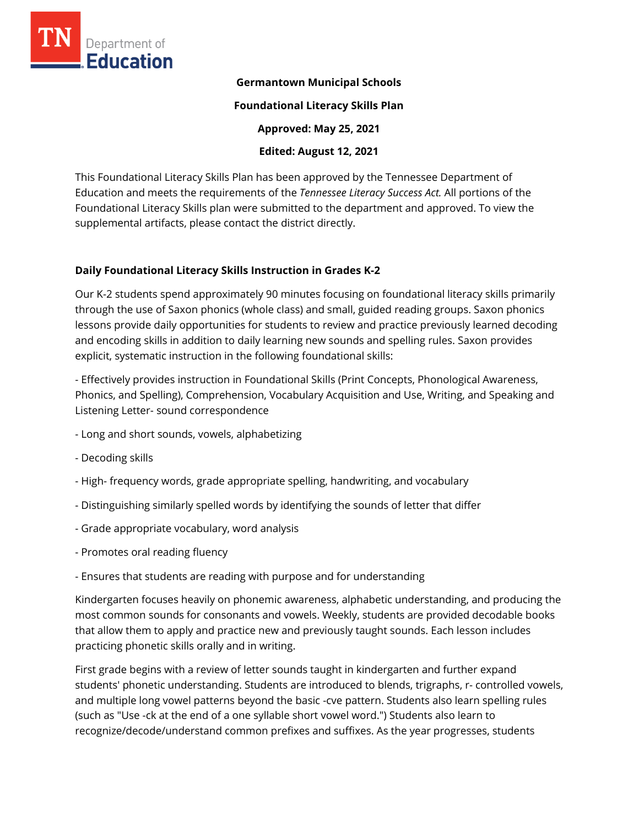

### **Germantown Municipal Schools**

**Foundational Literacy Skills Plan** 

**Approved: May 25, 2021** 

**Edited: August 12, 2021**

This Foundational Literacy Skills Plan has been approved by the Tennessee Department of Education and meets the requirements of the *Tennessee Literacy Success Act.* All portions of the Foundational Literacy Skills plan were submitted to the department and approved. To view the supplemental artifacts, please contact the district directly.

### **Daily Foundational Literacy Skills Instruction in Grades K-2**

Our K-2 students spend approximately 90 minutes focusing on foundational literacy skills primarily through the use of Saxon phonics (whole class) and small, guided reading groups. Saxon phonics lessons provide daily opportunities for students to review and practice previously learned decoding and encoding skills in addition to daily learning new sounds and spelling rules. Saxon provides explicit, systematic instruction in the following foundational skills:

- Effectively provides instruction in Foundational Skills (Print Concepts, Phonological Awareness, Phonics, and Spelling), Comprehension, Vocabulary Acquisition and Use, Writing, and Speaking and Listening Letter- sound correspondence

- Long and short sounds, vowels, alphabetizing
- Decoding skills
- High- frequency words, grade appropriate spelling, handwriting, and vocabulary
- Distinguishing similarly spelled words by identifying the sounds of letter that differ
- Grade appropriate vocabulary, word analysis
- Promotes oral reading fluency
- Ensures that students are reading with purpose and for understanding

Kindergarten focuses heavily on phonemic awareness, alphabetic understanding, and producing the most common sounds for consonants and vowels. Weekly, students are provided decodable books that allow them to apply and practice new and previously taught sounds. Each lesson includes practicing phonetic skills orally and in writing.

First grade begins with a review of letter sounds taught in kindergarten and further expand students' phonetic understanding. Students are introduced to blends, trigraphs, r- controlled vowels, and multiple long vowel patterns beyond the basic -cve pattern. Students also learn spelling rules (such as "Use -ck at the end of a one syllable short vowel word.") Students also learn to recognize/decode/understand common prefixes and suffixes. As the year progresses, students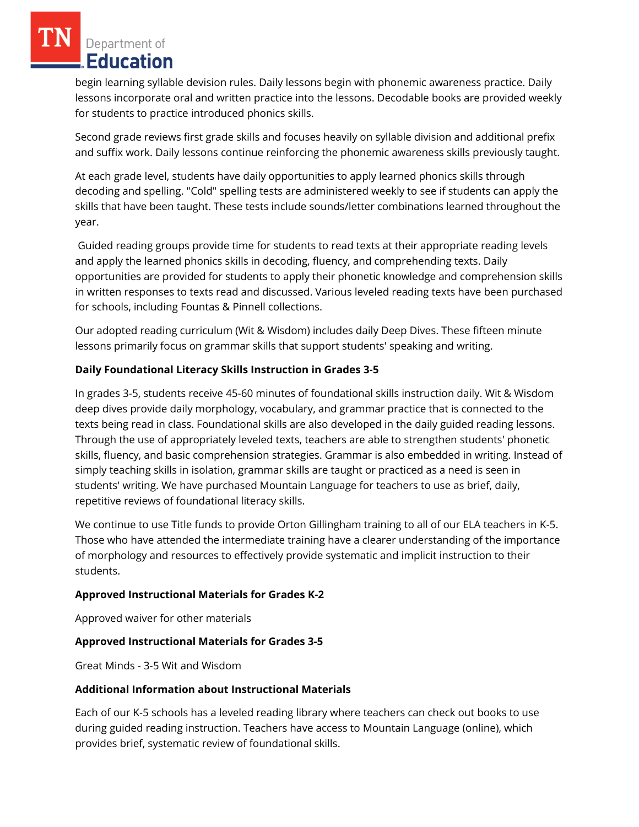Department of Education

begin learning syllable devision rules. Daily lessons begin with phonemic awareness practice. Daily lessons incorporate oral and written practice into the lessons. Decodable books are provided weekly for students to practice introduced phonics skills.

Second grade reviews first grade skills and focuses heavily on syllable division and additional prefix and suffix work. Daily lessons continue reinforcing the phonemic awareness skills previously taught.

At each grade level, students have daily opportunities to apply learned phonics skills through decoding and spelling. "Cold" spelling tests are administered weekly to see if students can apply the skills that have been taught. These tests include sounds/letter combinations learned throughout the year.

Guided reading groups provide time for students to read texts at their appropriate reading levels and apply the learned phonics skills in decoding, fluency, and comprehending texts. Daily opportunities are provided for students to apply their phonetic knowledge and comprehension skills in written responses to texts read and discussed. Various leveled reading texts have been purchased for schools, including Fountas & Pinnell collections.

Our adopted reading curriculum (Wit & Wisdom) includes daily Deep Dives. These fifteen minute lessons primarily focus on grammar skills that support students' speaking and writing.

# **Daily Foundational Literacy Skills Instruction in Grades 3-5**

In grades 3-5, students receive 45-60 minutes of foundational skills instruction daily. Wit & Wisdom deep dives provide daily morphology, vocabulary, and grammar practice that is connected to the texts being read in class. Foundational skills are also developed in the daily guided reading lessons. Through the use of appropriately leveled texts, teachers are able to strengthen students' phonetic skills, fluency, and basic comprehension strategies. Grammar is also embedded in writing. Instead of simply teaching skills in isolation, grammar skills are taught or practiced as a need is seen in students' writing. We have purchased Mountain Language for teachers to use as brief, daily, repetitive reviews of foundational literacy skills.

We continue to use Title funds to provide Orton Gillingham training to all of our ELA teachers in K-5. Those who have attended the intermediate training have a clearer understanding of the importance of morphology and resources to effectively provide systematic and implicit instruction to their students.

### **Approved Instructional Materials for Grades K-2**

Approved waiver for other materials

### **Approved Instructional Materials for Grades 3-5**

Great Minds - 3-5 Wit and Wisdom

### **Additional Information about Instructional Materials**

Each of our K-5 schools has a leveled reading library where teachers can check out books to use during guided reading instruction. Teachers have access to Mountain Language (online), which provides brief, systematic review of foundational skills.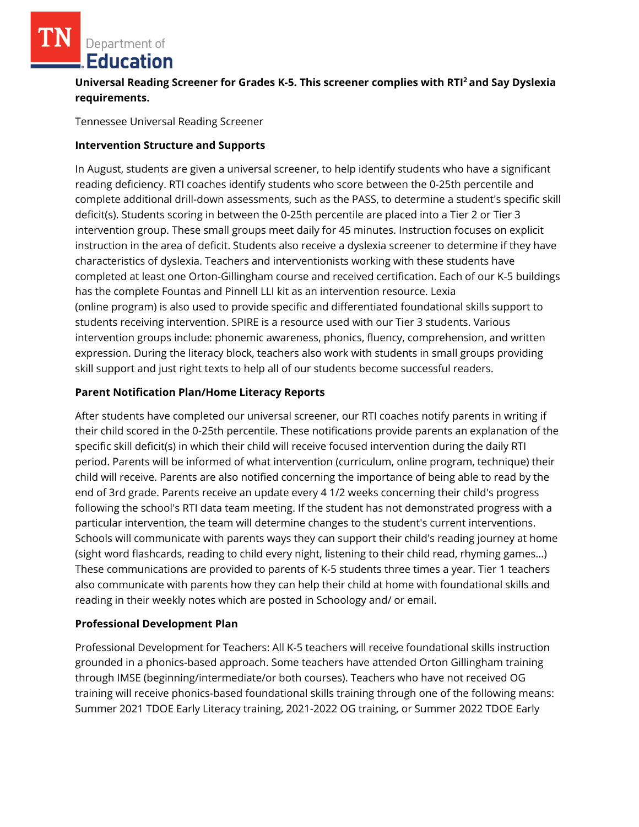Department of **Education** 

**Universal Reading Screener for Grades K-5. This screener complies with RTI<sup>2</sup>and Say Dyslexia requirements.**

Tennessee Universal Reading Screener

### **Intervention Structure and Supports**

In August, students are given a universal screener, to help identify students who have a significant reading deficiency. RTI coaches identify students who score between the 0-25th percentile and complete additional drill-down assessments, such as the PASS, to determine a student's specific skill deficit(s). Students scoring in between the 0-25th percentile are placed into a Tier 2 or Tier 3 intervention group. These small groups meet daily for 45 minutes. Instruction focuses on explicit instruction in the area of deficit. Students also receive a dyslexia screener to determine if they have characteristics of dyslexia. Teachers and interventionists working with these students have completed at least one Orton-Gillingham course and received certification. Each of our K-5 buildings has the complete Fountas and Pinnell LLI kit as an intervention resource. Lexia (online program) is also used to provide specific and differentiated foundational skills support to students receiving intervention. SPIRE is a resource used with our Tier 3 students. Various intervention groups include: phonemic awareness, phonics, fluency, comprehension, and written expression. During the literacy block, teachers also work with students in small groups providing skill support and just right texts to help all of our students become successful readers.

### **Parent Notification Plan/Home Literacy Reports**

After students have completed our universal screener, our RTI coaches notify parents in writing if their child scored in the 0-25th percentile. These notifications provide parents an explanation of the specific skill deficit(s) in which their child will receive focused intervention during the daily RTI period. Parents will be informed of what intervention (curriculum, online program, technique) their child will receive. Parents are also notified concerning the importance of being able to read by the end of 3rd grade. Parents receive an update every 4 1/2 weeks concerning their child's progress following the school's RTI data team meeting. If the student has not demonstrated progress with a particular intervention, the team will determine changes to the student's current interventions. Schools will communicate with parents ways they can support their child's reading journey at home (sight word flashcards, reading to child every night, listening to their child read, rhyming games...) These communications are provided to parents of K-5 students three times a year. Tier 1 teachers also communicate with parents how they can help their child at home with foundational skills and reading in their weekly notes which are posted in Schoology and/ or email.

### **Professional Development Plan**

Professional Development for Teachers: All K-5 teachers will receive foundational skills instruction grounded in a phonics-based approach. Some teachers have attended Orton Gillingham training through IMSE (beginning/intermediate/or both courses). Teachers who have not received OG training will receive phonics-based foundational skills training through one of the following means: Summer 2021 TDOE Early Literacy training, 2021-2022 OG training, or Summer 2022 TDOE Early